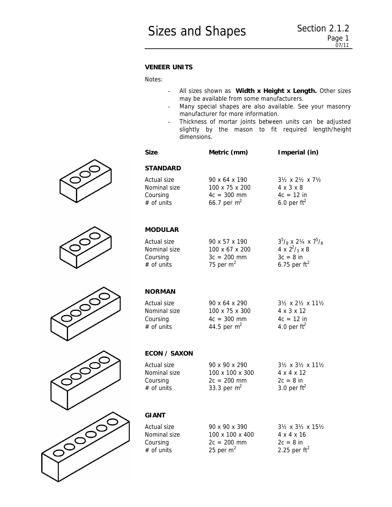## *VENEER UNITS*

*Notes:*

- *All sizes shown as Width x Height x Length. Other sizes may be available from some manufacturers.*
- *Many special shapes are also available. See your masonry manufacturer for more information.*
- *Thickness of mortar joints between units can be adjusted slightly by the mason to fit required length/height dimensions.*

| <b>Size</b>                                             | Metric (mm)                                                                    | Imperial (in)                                                                                                          |
|---------------------------------------------------------|--------------------------------------------------------------------------------|------------------------------------------------------------------------------------------------------------------------|
| <i><b>STANDARD</b></i>                                  |                                                                                |                                                                                                                        |
| Actual size<br>Nominal size<br>Coursing<br>$#$ of units | 90 x 64 x 190<br>$100 \times 75 \times 200$<br>$4c = 300$ mm<br>66.7 per $m^2$ | $3\frac{1}{2} \times 2\frac{1}{2} \times 7\frac{1}{2}$<br>$4 \times 3 \times 8$<br>$4c = 12$ in<br>6.0 per $ft^2$      |
| <i><b>MODULAR</b></i>                                   |                                                                                |                                                                                                                        |
| Actual size<br>Nominal size<br>Coursing<br>$#$ of units | 90 x 57 x 190<br>100 x 67 x 200<br>$3c = 200$ mm<br>75 per $m2$                | $3^5$ / <sub>8</sub> x 2 <sup>1</sup> / <sub>8</sub><br>4 x $2^2$ / <sub>3</sub> x 8<br>$3c = 8$ in<br>6.75 per $ft^2$ |
| <b>NORMAN</b>                                           |                                                                                |                                                                                                                        |
| Actual size<br>Nominal size<br>Coursing<br>$#$ of units | 90 x 64 x 290<br>100 x 75 x 300<br>$4c = 300$ mm<br>44.5 per $m^2$             | $3\frac{1}{2} \times 2\frac{1}{2} \times 11\frac{1}{2}$<br>4 x 3 x 12<br>$4c = 12$ in<br>4.0 per $ft^2$                |
| <b>ECON / SAXON</b>                                     |                                                                                |                                                                                                                        |
| Actual size<br>Nominal size<br>Coursing<br>$#$ of units | 90 x 90 x 290<br>100 x 100 x 300<br>$2c = 200$ mm<br>33.3 per $m2$             | $3\frac{1}{2} \times 3\frac{1}{2} \times 11\frac{1}{2}$<br>4 x 4 x 12<br>$2c = 8$ in<br>3.0 per $ft^2$                 |
| GIANT                                                   |                                                                                |                                                                                                                        |
| Actual size<br>Nominal size<br>Coursing<br>$#$ of units | 90 x 90 x 390<br>100 x 100 x 400<br>$2c = 200$ mm<br>25 per $m2$               | $3\frac{1}{2} \times 3\frac{1}{2} \times 15\frac{1}{2}$<br>4 x 4 x 16<br>$2c = 8$ in<br>2.25 per $ft^2$                |







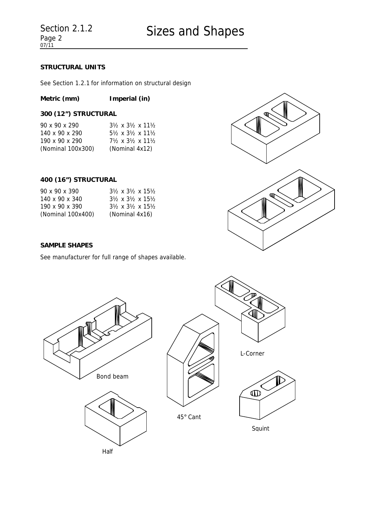# *STRUCTURAL UNITS*

See *Section 1.2.1* for information on structural design

# **Metric (mm) Imperial (in)**

# *300 (12") STRUCTURAL*

| 90 x 90 x 290     | $3\frac{1}{2} \times 3\frac{1}{2} \times 11\frac{1}{2}$ |
|-------------------|---------------------------------------------------------|
| 140 x 90 x 290    | $5\frac{1}{2} \times 3\frac{1}{2} \times 11\frac{1}{2}$ |
| 190 x 90 x 290    | $7\frac{1}{2} \times 3\frac{1}{2} \times 11\frac{1}{2}$ |
| (Nominal 100x300) | (Nominal 4x12)                                          |

### *400 (16") STRUCTURAL*

| 90 x 90 x 390     | $3\frac{1}{2} \times 3\frac{1}{2} \times 15\frac{1}{2}$ |
|-------------------|---------------------------------------------------------|
| 140 x 90 x 340    | $3\frac{1}{2} \times 3\frac{1}{2} \times 15\frac{1}{2}$ |
| 190 x 90 x 390    | $3\frac{1}{2} \times 3\frac{1}{2} \times 15\frac{1}{2}$ |
| (Nominal 100x400) | (Nominal 4x16)                                          |



### *SAMPLE SHAPES*

See manufacturer for full range of shapes available.